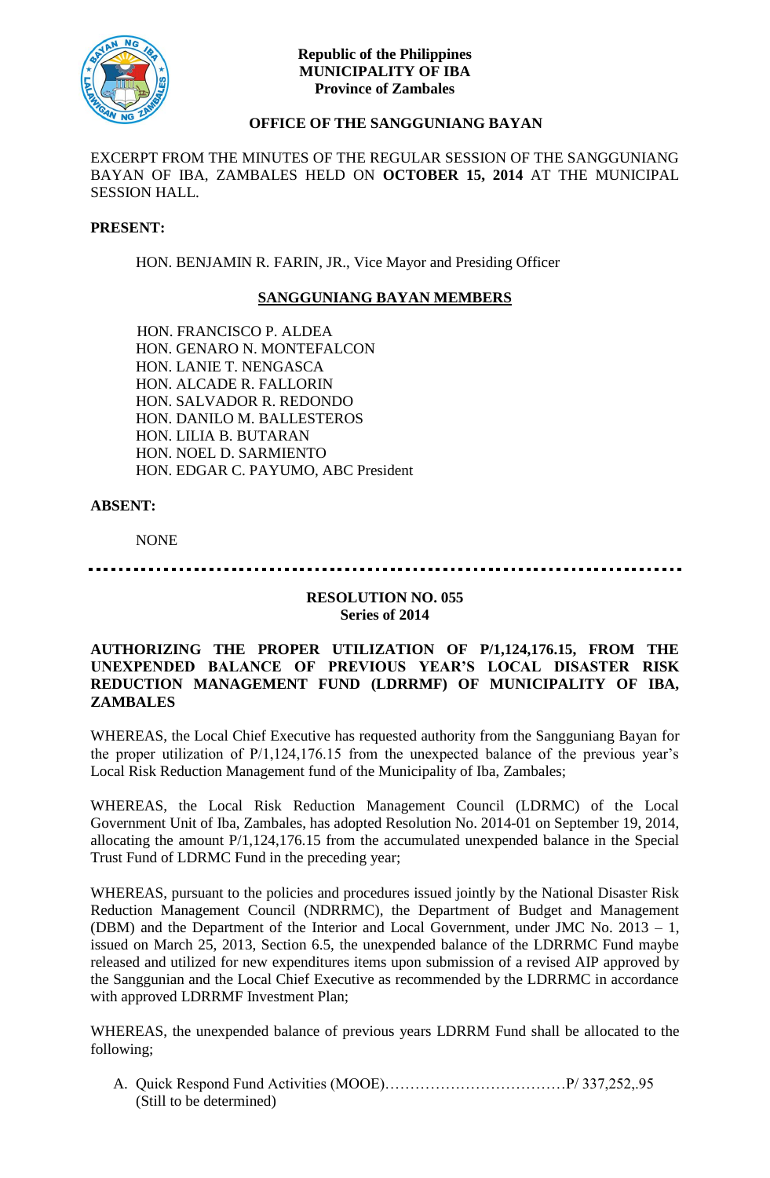

## **Republic of the Philippines MUNICIPALITY OF IBA Province of Zambales**

# **OFFICE OF THE SANGGUNIANG BAYAN**

EXCERPT FROM THE MINUTES OF THE REGULAR SESSION OF THE SANGGUNIANG BAYAN OF IBA, ZAMBALES HELD ON **OCTOBER 15, 2014** AT THE MUNICIPAL SESSION HALL.

#### **PRESENT:**

HON. BENJAMIN R. FARIN, JR., Vice Mayor and Presiding Officer

## **SANGGUNIANG BAYAN MEMBERS**

HON. FRANCISCO P. ALDEA HON. GENARO N. MONTEFALCON HON. LANIE T. NENGASCA HON. ALCADE R. FALLORIN HON. SALVADOR R. REDONDO HON. DANILO M. BALLESTEROS HON. LILIA B. BUTARAN HON. NOEL D. SARMIENTO HON. EDGAR C. PAYUMO, ABC President

## **ABSENT:**

NONE

## 

## **RESOLUTION NO. 055 Series of 2014**

## **AUTHORIZING THE PROPER UTILIZATION OF P/1,124,176.15, FROM THE UNEXPENDED BALANCE OF PREVIOUS YEAR'S LOCAL DISASTER RISK REDUCTION MANAGEMENT FUND (LDRRMF) OF MUNICIPALITY OF IBA, ZAMBALES**

WHEREAS, the Local Chief Executive has requested authority from the Sangguniang Bayan for the proper utilization of P/1,124,176.15 from the unexpected balance of the previous year's Local Risk Reduction Management fund of the Municipality of Iba, Zambales;

WHEREAS, the Local Risk Reduction Management Council (LDRMC) of the Local Government Unit of Iba, Zambales, has adopted Resolution No. 2014-01 on September 19, 2014, allocating the amount P/1,124,176.15 from the accumulated unexpended balance in the Special Trust Fund of LDRMC Fund in the preceding year;

WHEREAS, pursuant to the policies and procedures issued jointly by the National Disaster Risk Reduction Management Council (NDRRMC), the Department of Budget and Management (DBM) and the Department of the Interior and Local Government, under JMC No. 2013 – 1, issued on March 25, 2013, Section 6.5, the unexpended balance of the LDRRMC Fund maybe released and utilized for new expenditures items upon submission of a revised AIP approved by the Sanggunian and the Local Chief Executive as recommended by the LDRRMC in accordance with approved LDRRMF Investment Plan;

WHEREAS, the unexpended balance of previous years LDRRM Fund shall be allocated to the following;

A. Quick Respond Fund Activities (MOOE)………………………………P/ 337,252,.95 (Still to be determined)